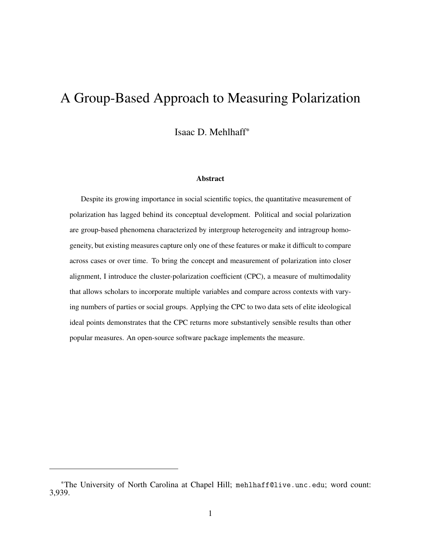# A Group-Based Approach to Measuring Polarization

Isaac D. Mehlhaff\*

#### Abstract

Despite its growing importance in social scientific topics, the quantitative measurement of polarization has lagged behind its conceptual development. Political and social polarization are group-based phenomena characterized by intergroup heterogeneity and intragroup homogeneity, but existing measures capture only one of these features or make it difficult to compare across cases or over time. To bring the concept and measurement of polarization into closer alignment, I introduce the cluster-polarization coefficient (CPC), a measure of multimodality that allows scholars to incorporate multiple variables and compare across contexts with varying numbers of parties or social groups. Applying the CPC to two data sets of elite ideological ideal points demonstrates that the CPC returns more substantively sensible results than other popular measures. An open-source software package implements the measure.

<sup>\*</sup>The University of North Carolina at Chapel Hill; [mehlhaff@live.unc.edu](mailto:mehlhaff@live.unc.edu); word count: 3,939.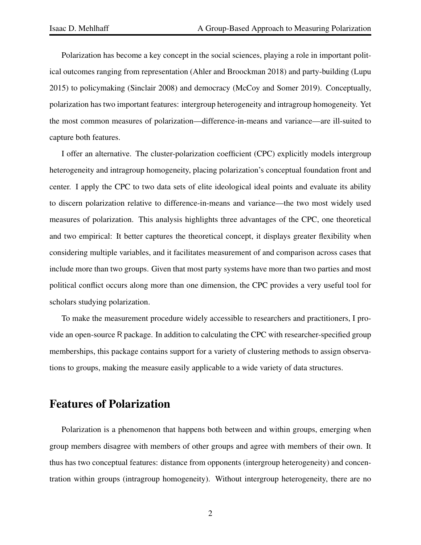Polarization has become a key concept in the social sciences, playing a role in important political outcomes ranging from representation (Ahler and Broockman [2018\)](#page-13-0) and party-building (Lupu [2015\)](#page-14-0) to policymaking (Sinclair [2008\)](#page-15-0) and democracy (McCoy and Somer [2019\)](#page-15-1). Conceptually, polarization has two important features: intergroup heterogeneity and intragroup homogeneity. Yet the most common measures of polarization—difference-in-means and variance—are ill-suited to capture both features.

I offer an alternative. The cluster-polarization coefficient (CPC) explicitly models intergroup heterogeneity and intragroup homogeneity, placing polarization's conceptual foundation front and center. I apply the CPC to two data sets of elite ideological ideal points and evaluate its ability to discern polarization relative to difference-in-means and variance—the two most widely used measures of polarization. This analysis highlights three advantages of the CPC, one theoretical and two empirical: It better captures the theoretical concept, it displays greater flexibility when considering multiple variables, and it facilitates measurement of and comparison across cases that include more than two groups. Given that most party systems have more than two parties and most political conflict occurs along more than one dimension, the CPC provides a very useful tool for scholars studying polarization.

To make the measurement procedure widely accessible to researchers and practitioners, I provide an open-source R package. In addition to calculating the CPC with researcher-specified group memberships, this package contains support for a variety of clustering methods to assign observations to groups, making the measure easily applicable to a wide variety of data structures.

# Features of Polarization

Polarization is a phenomenon that happens both between and within groups, emerging when group members disagree with members of other groups and agree with members of their own. It thus has two conceptual features: distance from opponents (intergroup heterogeneity) and concentration within groups (intragroup homogeneity). Without intergroup heterogeneity, there are no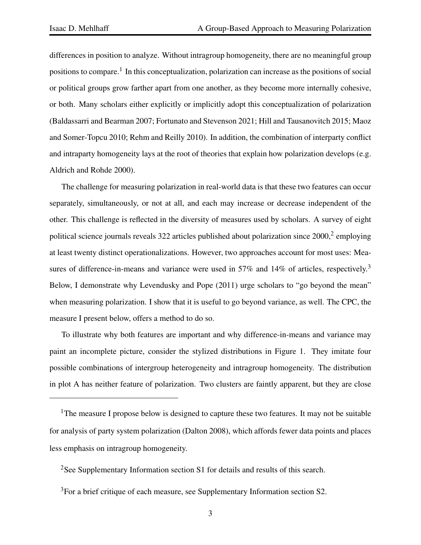differences in position to analyze. Without intragroup homogeneity, there are no meaningful group positions to compare.<sup>[1](#page-2-0)</sup> In this conceptualization, polarization can increase as the positions of social or political groups grow farther apart from one another, as they become more internally cohesive, or both. Many scholars either explicitly or implicitly adopt this conceptualization of polarization (Baldassarri and Bearman [2007;](#page-13-1) Fortunato and Stevenson [2021;](#page-14-1) Hill and Tausanovitch [2015;](#page-14-2) Maoz and Somer-Topcu [2010;](#page-14-3) Rehm and Reilly [2010\)](#page-15-2). In addition, the combination of interparty conflict and intraparty homogeneity lays at the root of theories that explain how polarization develops (e.g. Aldrich and Rohde [2000\)](#page-13-2).

The challenge for measuring polarization in real-world data is that these two features can occur separately, simultaneously, or not at all, and each may increase or decrease independent of the other. This challenge is reflected in the diversity of measures used by scholars. A survey of eight political science journals reveals 3[2](#page-2-1)2 articles published about polarization since  $2000$ ,  $2$  employing at least twenty distinct operationalizations. However, two approaches account for most uses: Mea-sures of difference-in-means and variance were used in 57% and 14% of articles, respectively.<sup>[3](#page-2-2)</sup> Below, I demonstrate why Levendusky and Pope [\(2011\)](#page-14-4) urge scholars to "go beyond the mean" when measuring polarization. I show that it is useful to go beyond variance, as well. The CPC, the measure I present below, offers a method to do so.

To illustrate why both features are important and why difference-in-means and variance may paint an incomplete picture, consider the stylized distributions in Figure [1.](#page-3-0) They imitate four possible combinations of intergroup heterogeneity and intragroup homogeneity. The distribution in plot A has neither feature of polarization. Two clusters are faintly apparent, but they are close

<span id="page-2-0"></span><sup>&</sup>lt;sup>1</sup>The measure I propose below is designed to capture these two features. It may not be suitable for analysis of party system polarization (Dalton [2008\)](#page-14-5), which affords fewer data points and places less emphasis on intragroup homogeneity.

<span id="page-2-1"></span><sup>&</sup>lt;sup>2</sup>See Supplementary Information section S1 for details and results of this search.

<span id="page-2-2"></span><sup>&</sup>lt;sup>3</sup>For a brief critique of each measure, see Supplementary Information section S2.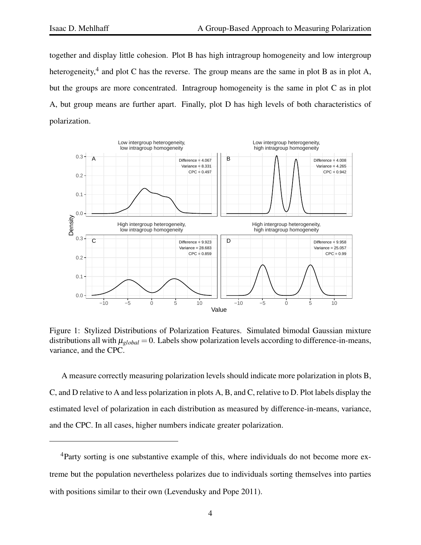together and display little cohesion. Plot B has high intragroup homogeneity and low intergroup heterogeneity,<sup>[4](#page-3-1)</sup> and plot C has the reverse. The group means are the same in plot B as in plot A, but the groups are more concentrated. Intragroup homogeneity is the same in plot C as in plot A, but group means are further apart. Finally, plot D has high levels of both characteristics of polarization.



<span id="page-3-0"></span>Figure 1: Stylized Distributions of Polarization Features. Simulated bimodal Gaussian mixture distributions all with  $\mu_{global} = 0$ . Labels show polarization levels according to difference-in-means, variance, and the CPC.

A measure correctly measuring polarization levels should indicate more polarization in plots B, C, and D relative to A and less polarization in plots A, B, and C, relative to D. Plot labels display the estimated level of polarization in each distribution as measured by difference-in-means, variance, and the CPC. In all cases, higher numbers indicate greater polarization.

<span id="page-3-1"></span><sup>&</sup>lt;sup>4</sup>Party sorting is one substantive example of this, where individuals do not become more extreme but the population nevertheless polarizes due to individuals sorting themselves into parties with positions similar to their own (Levendusky and Pope [2011\)](#page-14-4).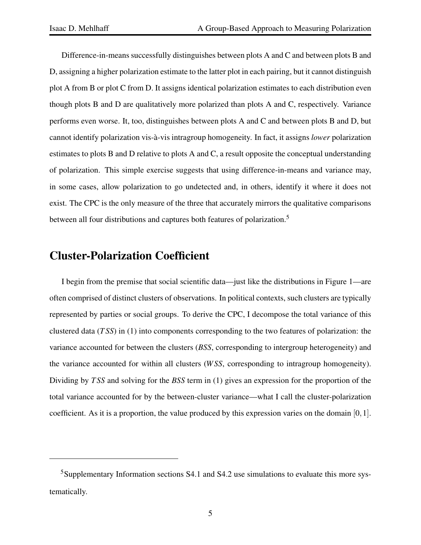Difference-in-means successfully distinguishes between plots A and C and between plots B and D, assigning a higher polarization estimate to the latter plot in each pairing, but it cannot distinguish plot A from B or plot C from D. It assigns identical polarization estimates to each distribution even though plots B and D are qualitatively more polarized than plots A and C, respectively. Variance performs even worse. It, too, distinguishes between plots A and C and between plots B and D, but cannot identify polarization vis-à-vis intragroup homogeneity. In fact, it assigns *lower* polarization estimates to plots B and D relative to plots A and C, a result opposite the conceptual understanding of polarization. This simple exercise suggests that using difference-in-means and variance may, in some cases, allow polarization to go undetected and, in others, identify it where it does not exist. The CPC is the only measure of the three that accurately mirrors the qualitative comparisons between all four distributions and captures both features of polarization.<sup>[5](#page-4-0)</sup>

#### Cluster-Polarization Coefficient

I begin from the premise that social scientific data—just like the distributions in Figure [1—](#page-3-0)are often comprised of distinct clusters of observations. In political contexts, such clusters are typically represented by parties or social groups. To derive the CPC, I decompose the total variance of this clustered data (*T SS*) in [\(1\)](#page-5-0) into components corresponding to the two features of polarization: the variance accounted for between the clusters (*BSS*, corresponding to intergroup heterogeneity) and the variance accounted for within all clusters (*W SS*, corresponding to intragroup homogeneity). Dividing by *T SS* and solving for the *BSS* term in [\(1\)](#page-5-0) gives an expression for the proportion of the total variance accounted for by the between-cluster variance—what I call the cluster-polarization coefficient. As it is a proportion, the value produced by this expression varies on the domain [0,1].

<span id="page-4-0"></span><sup>&</sup>lt;sup>5</sup>Supplementary Information sections S4.1 and S4.2 use simulations to evaluate this more systematically.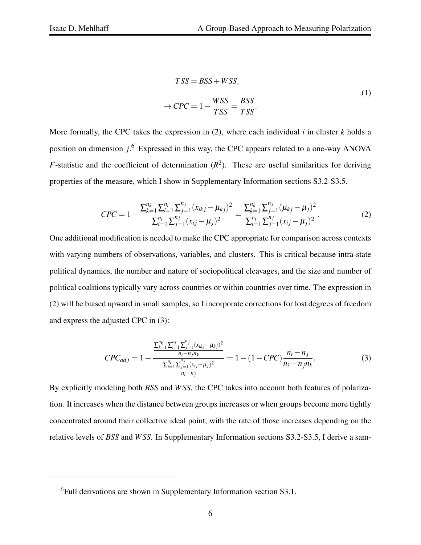$$
TSS = BSS + WSS,
$$
  
\n
$$
\rightarrow CPC = 1 - \frac{WSS}{TSS} = \frac{BSS}{TSS}.
$$
\n(1)

<span id="page-5-0"></span>More formally, the CPC takes the expression in [\(2\)](#page-5-1), where each individual *i* in cluster *k* holds a position on dimension *j*. [6](#page-5-2) Expressed in this way, the CPC appears related to a one-way ANOVA *F*-statistic and the coefficient of determination  $(R^2)$ . These are useful similarities for deriving properties of the measure, which I show in Supplementary Information sections S3.2-S3.5.

<span id="page-5-1"></span>
$$
CPC = 1 - \frac{\sum_{k=1}^{n_k} \sum_{i=1}^{n_i} \sum_{j=1}^{n_j} (x_{ikj} - \mu_{kj})^2}{\sum_{i=1}^{n_i} \sum_{j=1}^{n_j} (x_{ij} - \mu_j)^2} = \frac{\sum_{k=1}^{n_k} \sum_{j=1}^{n_j} (\mu_{kj} - \mu_j)^2}{\sum_{i=1}^{n_i} \sum_{j=1}^{n_j} (x_{ij} - \mu_j)^2}.
$$
 (2)

One additional modification is needed to make the CPC appropriate for comparison across contexts with varying numbers of observations, variables, and clusters. This is critical because intra-state political dynamics, the number and nature of sociopolitical cleavages, and the size and number of political coalitions typically vary across countries or within countries over time. The expression in [\(2\)](#page-5-1) will be biased upward in small samples, so I incorporate corrections for lost degrees of freedom and express the adjusted CPC in [\(3\)](#page-5-3):

<span id="page-5-3"></span>
$$
CPC_{adj} = 1 - \frac{\frac{\sum_{k=1}^{n_i} \sum_{i=1}^{n_j} (x_{ikj} - \mu_{kj})^2}{n_i - n_j n_k}}{\frac{\sum_{i=1}^{n_i} \sum_{j=1}^{n_j} (x_{ij} - \mu_j)^2}{n_i - n_j}} = 1 - (1 - CPC) \frac{n_i - n_j}{n_i - n_j n_k}.
$$
\n(3)

By explicitly modeling both *BSS* and *W SS*, the CPC takes into account both features of polarization. It increases when the distance between groups increases or when groups become more tightly concentrated around their collective ideal point, with the rate of those increases depending on the relative levels of *BSS* and *W SS*. In Supplementary Information sections S3.2-S3.5, I derive a sam-

<span id="page-5-2"></span><sup>6</sup>Full derivations are shown in Supplementary Information section S3.1.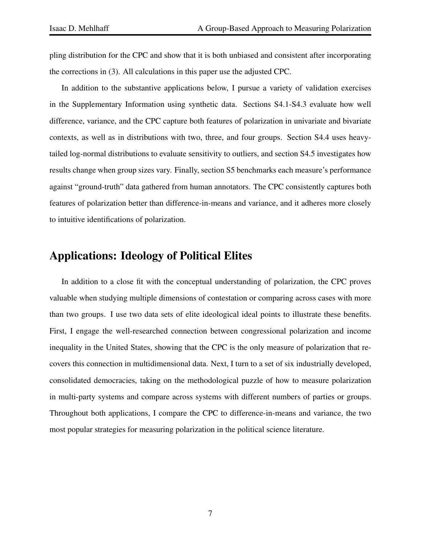pling distribution for the CPC and show that it is both unbiased and consistent after incorporating the corrections in [\(3\)](#page-5-3). All calculations in this paper use the adjusted CPC.

In addition to the substantive applications below, I pursue a variety of validation exercises in the Supplementary Information using synthetic data. Sections S4.1-S4.3 evaluate how well difference, variance, and the CPC capture both features of polarization in univariate and bivariate contexts, as well as in distributions with two, three, and four groups. Section S4.4 uses heavytailed log-normal distributions to evaluate sensitivity to outliers, and section S4.5 investigates how results change when group sizes vary. Finally, section S5 benchmarks each measure's performance against "ground-truth" data gathered from human annotators. The CPC consistently captures both features of polarization better than difference-in-means and variance, and it adheres more closely to intuitive identifications of polarization.

# Applications: Ideology of Political Elites

In addition to a close fit with the conceptual understanding of polarization, the CPC proves valuable when studying multiple dimensions of contestation or comparing across cases with more than two groups. I use two data sets of elite ideological ideal points to illustrate these benefits. First, I engage the well-researched connection between congressional polarization and income inequality in the United States, showing that the CPC is the only measure of polarization that recovers this connection in multidimensional data. Next, I turn to a set of six industrially developed, consolidated democracies, taking on the methodological puzzle of how to measure polarization in multi-party systems and compare across systems with different numbers of parties or groups. Throughout both applications, I compare the CPC to difference-in-means and variance, the two most popular strategies for measuring polarization in the political science literature.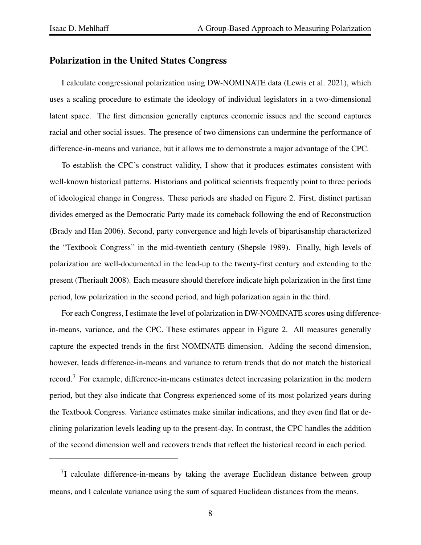#### Polarization in the United States Congress

I calculate congressional polarization using DW-NOMINATE data (Lewis et al. [2021\)](#page-14-6), which uses a scaling procedure to estimate the ideology of individual legislators in a two-dimensional latent space. The first dimension generally captures economic issues and the second captures racial and other social issues. The presence of two dimensions can undermine the performance of difference-in-means and variance, but it allows me to demonstrate a major advantage of the CPC.

To establish the CPC's construct validity, I show that it produces estimates consistent with well-known historical patterns. Historians and political scientists frequently point to three periods of ideological change in Congress. These periods are shaded on Figure [2.](#page-8-0) First, distinct partisan divides emerged as the Democratic Party made its comeback following the end of Reconstruction (Brady and Han [2006\)](#page-14-7). Second, party convergence and high levels of bipartisanship characterized the "Textbook Congress" in the mid-twentieth century (Shepsle [1989\)](#page-15-3). Finally, high levels of polarization are well-documented in the lead-up to the twenty-first century and extending to the present (Theriault [2008\)](#page-15-4). Each measure should therefore indicate high polarization in the first time period, low polarization in the second period, and high polarization again in the third.

For each Congress, I estimate the level of polarization in DW-NOMINATE scores using differencein-means, variance, and the CPC. These estimates appear in Figure [2.](#page-8-0) All measures generally capture the expected trends in the first NOMINATE dimension. Adding the second dimension, however, leads difference-in-means and variance to return trends that do not match the historical record.[7](#page-7-0) For example, difference-in-means estimates detect increasing polarization in the modern period, but they also indicate that Congress experienced some of its most polarized years during the Textbook Congress. Variance estimates make similar indications, and they even find flat or declining polarization levels leading up to the present-day. In contrast, the CPC handles the addition of the second dimension well and recovers trends that reflect the historical record in each period.

<span id="page-7-0"></span> $7$ I calculate difference-in-means by taking the average Euclidean distance between group means, and I calculate variance using the sum of squared Euclidean distances from the means.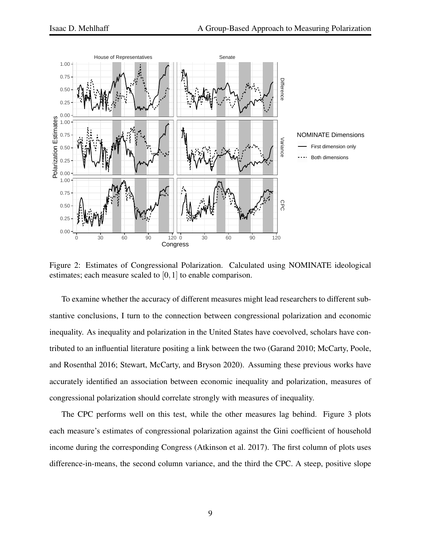

<span id="page-8-0"></span>Figure 2: Estimates of Congressional Polarization. Calculated using NOMINATE ideological estimates; each measure scaled to [0, 1] to enable comparison.

To examine whether the accuracy of different measures might lead researchers to different substantive conclusions, I turn to the connection between congressional polarization and economic inequality. As inequality and polarization in the United States have coevolved, scholars have contributed to an influential literature positing a link between the two (Garand [2010;](#page-14-8) McCarty, Poole, and Rosenthal [2016;](#page-15-5) Stewart, McCarty, and Bryson [2020\)](#page-15-6). Assuming these previous works have accurately identified an association between economic inequality and polarization, measures of congressional polarization should correlate strongly with measures of inequality.

The CPC performs well on this test, while the other measures lag behind. Figure [3](#page-9-0) plots each measure's estimates of congressional polarization against the Gini coefficient of household income during the corresponding Congress (Atkinson et al. [2017\)](#page-13-3). The first column of plots uses difference-in-means, the second column variance, and the third the CPC. A steep, positive slope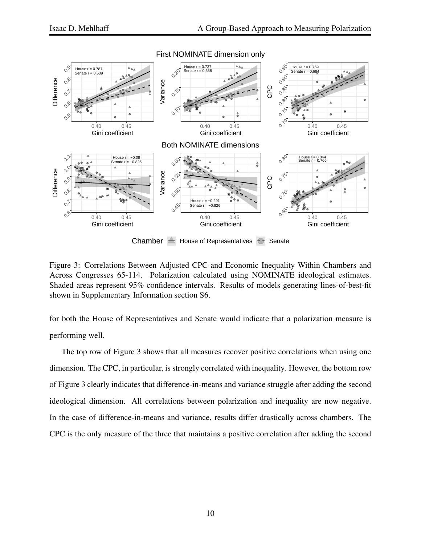

Chamber  $\leftarrow$  House of Representatives  $\leftarrow$  Senate

<span id="page-9-0"></span>Figure 3: Correlations Between Adjusted CPC and Economic Inequality Within Chambers and Across Congresses 65-114. Polarization calculated using NOMINATE ideological estimates. Shaded areas represent 95% confidence intervals. Results of models generating lines-of-best-fit shown in Supplementary Information section S6.

for both the House of Representatives and Senate would indicate that a polarization measure is performing well.

The top row of Figure [3](#page-9-0) shows that all measures recover positive correlations when using one dimension. The CPC, in particular, is strongly correlated with inequality. However, the bottom row of Figure [3](#page-9-0) clearly indicates that difference-in-means and variance struggle after adding the second ideological dimension. All correlations between polarization and inequality are now negative. In the case of difference-in-means and variance, results differ drastically across chambers. The CPC is the only measure of the three that maintains a positive correlation after adding the second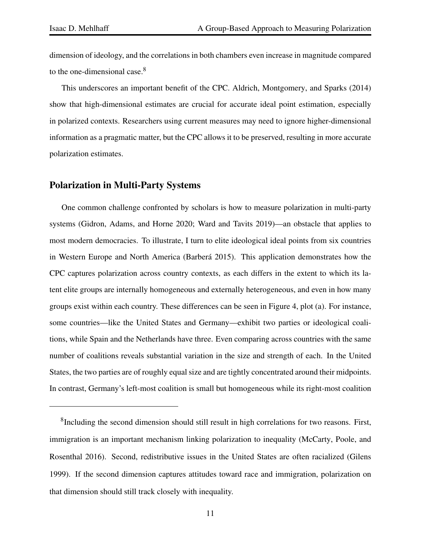dimension of ideology, and the correlations in both chambers even increase in magnitude compared to the one-dimensional case.<sup>[8](#page-10-0)</sup>

This underscores an important benefit of the CPC. Aldrich, Montgomery, and Sparks [\(2014\)](#page-13-4) show that high-dimensional estimates are crucial for accurate ideal point estimation, especially in polarized contexts. Researchers using current measures may need to ignore higher-dimensional information as a pragmatic matter, but the CPC allows it to be preserved, resulting in more accurate polarization estimates.

#### Polarization in Multi-Party Systems

One common challenge confronted by scholars is how to measure polarization in multi-party systems (Gidron, Adams, and Horne [2020;](#page-14-9) Ward and Tavits [2019\)](#page-15-7)—an obstacle that applies to most modern democracies. To illustrate, I turn to elite ideological ideal points from six countries in Western Europe and North America (Barberá [2015\)](#page-13-5). This application demonstrates how the CPC captures polarization across country contexts, as each differs in the extent to which its latent elite groups are internally homogeneous and externally heterogeneous, and even in how many groups exist within each country. These differences can be seen in Figure [4,](#page-11-0) plot (a). For instance, some countries—like the United States and Germany—exhibit two parties or ideological coalitions, while Spain and the Netherlands have three. Even comparing across countries with the same number of coalitions reveals substantial variation in the size and strength of each. In the United States, the two parties are of roughly equal size and are tightly concentrated around their midpoints. In contrast, Germany's left-most coalition is small but homogeneous while its right-most coalition

<span id="page-10-0"></span><sup>&</sup>lt;sup>8</sup>Including the second dimension should still result in high correlations for two reasons. First, immigration is an important mechanism linking polarization to inequality (McCarty, Poole, and Rosenthal [2016\)](#page-15-5). Second, redistributive issues in the United States are often racialized (Gilens [1999\)](#page-14-10). If the second dimension captures attitudes toward race and immigration, polarization on that dimension should still track closely with inequality.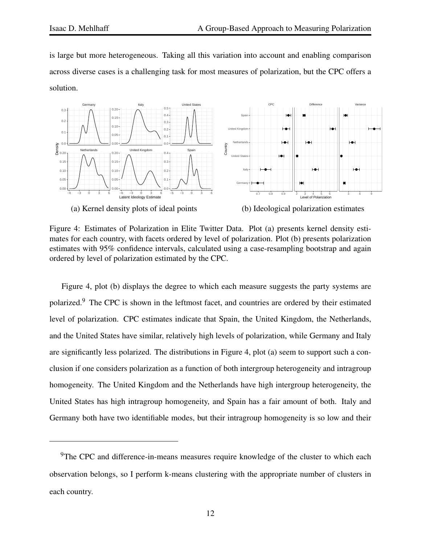is large but more heterogeneous. Taking all this variation into account and enabling comparison across diverse cases is a challenging task for most measures of polarization, but the CPC offers a solution.



<span id="page-11-0"></span>Figure 4: Estimates of Polarization in Elite Twitter Data. Plot (a) presents kernel density estimates for each country, with facets ordered by level of polarization. Plot (b) presents polarization estimates with 95% confidence intervals, calculated using a case-resampling bootstrap and again ordered by level of polarization estimated by the CPC.

Figure [4,](#page-11-0) plot (b) displays the degree to which each measure suggests the party systems are polarized.[9](#page-11-1) The CPC is shown in the leftmost facet, and countries are ordered by their estimated level of polarization. CPC estimates indicate that Spain, the United Kingdom, the Netherlands, and the United States have similar, relatively high levels of polarization, while Germany and Italy are significantly less polarized. The distributions in Figure [4,](#page-11-0) plot (a) seem to support such a conclusion if one considers polarization as a function of both intergroup heterogeneity and intragroup homogeneity. The United Kingdom and the Netherlands have high intergroup heterogeneity, the United States has high intragroup homogeneity, and Spain has a fair amount of both. Italy and Germany both have two identifiable modes, but their intragroup homogeneity is so low and their

<span id="page-11-1"></span> $9$ The CPC and difference-in-means measures require knowledge of the cluster to which each observation belongs, so I perform k-means clustering with the appropriate number of clusters in each country.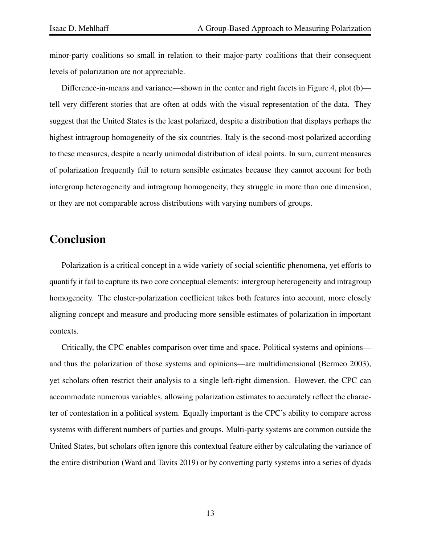minor-party coalitions so small in relation to their major-party coalitions that their consequent levels of polarization are not appreciable.

Difference-in-means and variance—shown in the center and right facets in Figure [4,](#page-11-0) plot (b) tell very different stories that are often at odds with the visual representation of the data. They suggest that the United States is the least polarized, despite a distribution that displays perhaps the highest intragroup homogeneity of the six countries. Italy is the second-most polarized according to these measures, despite a nearly unimodal distribution of ideal points. In sum, current measures of polarization frequently fail to return sensible estimates because they cannot account for both intergroup heterogeneity and intragroup homogeneity, they struggle in more than one dimension, or they are not comparable across distributions with varying numbers of groups.

#### Conclusion

Polarization is a critical concept in a wide variety of social scientific phenomena, yet efforts to quantify it fail to capture its two core conceptual elements: intergroup heterogeneity and intragroup homogeneity. The cluster-polarization coefficient takes both features into account, more closely aligning concept and measure and producing more sensible estimates of polarization in important contexts.

Critically, the CPC enables comparison over time and space. Political systems and opinions and thus the polarization of those systems and opinions—are multidimensional (Bermeo [2003\)](#page-13-6), yet scholars often restrict their analysis to a single left-right dimension. However, the CPC can accommodate numerous variables, allowing polarization estimates to accurately reflect the character of contestation in a political system. Equally important is the CPC's ability to compare across systems with different numbers of parties and groups. Multi-party systems are common outside the United States, but scholars often ignore this contextual feature either by calculating the variance of the entire distribution (Ward and Tavits [2019\)](#page-15-7) or by converting party systems into a series of dyads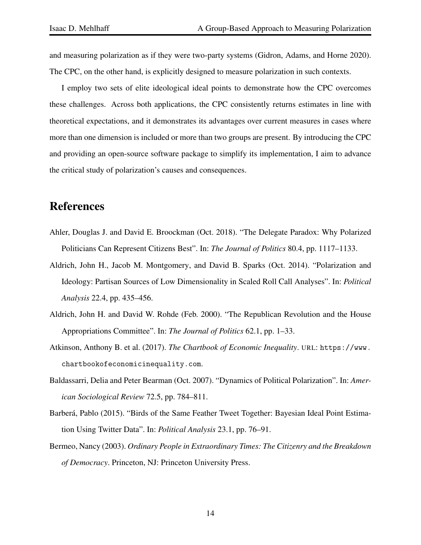and measuring polarization as if they were two-party systems (Gidron, Adams, and Horne [2020\)](#page-14-9). The CPC, on the other hand, is explicitly designed to measure polarization in such contexts.

I employ two sets of elite ideological ideal points to demonstrate how the CPC overcomes these challenges. Across both applications, the CPC consistently returns estimates in line with theoretical expectations, and it demonstrates its advantages over current measures in cases where more than one dimension is included or more than two groups are present. By introducing the CPC and providing an open-source software package to simplify its implementation, I aim to advance the critical study of polarization's causes and consequences.

## References

- <span id="page-13-0"></span>Ahler, Douglas J. and David E. Broockman (Oct. 2018). "The Delegate Paradox: Why Polarized Politicians Can Represent Citizens Best". In: *The Journal of Politics* 80.4, pp. 1117–1133.
- <span id="page-13-4"></span>Aldrich, John H., Jacob M. Montgomery, and David B. Sparks (Oct. 2014). "Polarization and Ideology: Partisan Sources of Low Dimensionality in Scaled Roll Call Analyses". In: *Political Analysis* 22.4, pp. 435–456.
- <span id="page-13-2"></span>Aldrich, John H. and David W. Rohde (Feb. 2000). "The Republican Revolution and the House Appropriations Committee". In: *The Journal of Politics* 62.1, pp. 1–33.
- <span id="page-13-3"></span>Atkinson, Anthony B. et al. (2017). *The Chartbook of Economic Inequality*. URL: [https://www.](https://www.chartbookofeconomicinequality.com) [chartbookofeconomicinequality.com](https://www.chartbookofeconomicinequality.com).
- <span id="page-13-1"></span>Baldassarri, Delia and Peter Bearman (Oct. 2007). "Dynamics of Political Polarization". In: *American Sociological Review* 72.5, pp. 784–811.
- <span id="page-13-5"></span>Barberá, Pablo (2015). "Birds of the Same Feather Tweet Together: Bayesian Ideal Point Estimation Using Twitter Data". In: *Political Analysis* 23.1, pp. 76–91.
- <span id="page-13-6"></span>Bermeo, Nancy (2003). *Ordinary People in Extraordinary Times: The Citizenry and the Breakdown of Democracy*. Princeton, NJ: Princeton University Press.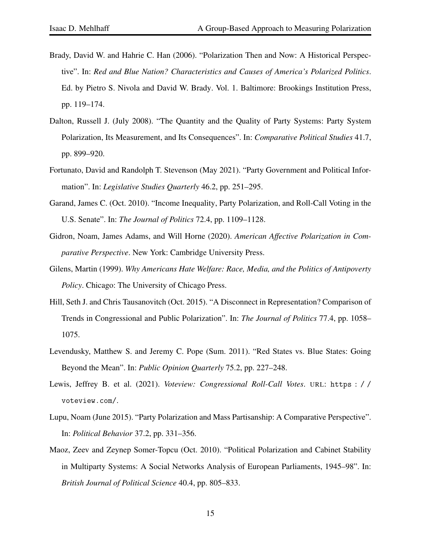- <span id="page-14-7"></span>Brady, David W. and Hahrie C. Han (2006). "Polarization Then and Now: A Historical Perspective". In: *Red and Blue Nation? Characteristics and Causes of America's Polarized Politics*. Ed. by Pietro S. Nivola and David W. Brady. Vol. 1. Baltimore: Brookings Institution Press, pp. 119–174.
- <span id="page-14-5"></span>Dalton, Russell J. (July 2008). "The Quantity and the Quality of Party Systems: Party System Polarization, Its Measurement, and Its Consequences". In: *Comparative Political Studies* 41.7, pp. 899–920.
- <span id="page-14-1"></span>Fortunato, David and Randolph T. Stevenson (May 2021). "Party Government and Political Information". In: *Legislative Studies Quarterly* 46.2, pp. 251–295.
- <span id="page-14-8"></span>Garand, James C. (Oct. 2010). "Income Inequality, Party Polarization, and Roll-Call Voting in the U.S. Senate". In: *The Journal of Politics* 72.4, pp. 1109–1128.
- <span id="page-14-9"></span>Gidron, Noam, James Adams, and Will Horne (2020). *American Affective Polarization in Comparative Perspective*. New York: Cambridge University Press.
- <span id="page-14-10"></span>Gilens, Martin (1999). *Why Americans Hate Welfare: Race, Media, and the Politics of Antipoverty Policy*. Chicago: The University of Chicago Press.
- <span id="page-14-2"></span>Hill, Seth J. and Chris Tausanovitch (Oct. 2015). "A Disconnect in Representation? Comparison of Trends in Congressional and Public Polarization". In: *The Journal of Politics* 77.4, pp. 1058– 1075.
- <span id="page-14-4"></span>Levendusky, Matthew S. and Jeremy C. Pope (Sum. 2011). "Red States vs. Blue States: Going Beyond the Mean". In: *Public Opinion Quarterly* 75.2, pp. 227–248.
- <span id="page-14-6"></span>Lewis, Jeffrey B. et al. (2021). *Voteview: Congressional Roll-Call Votes*. URL: [https : / /](https://voteview.com/) [voteview.com/](https://voteview.com/).
- <span id="page-14-0"></span>Lupu, Noam (June 2015). "Party Polarization and Mass Partisanship: A Comparative Perspective". In: *Political Behavior* 37.2, pp. 331–356.
- <span id="page-14-3"></span>Maoz, Zeev and Zeynep Somer-Topcu (Oct. 2010). "Political Polarization and Cabinet Stability in Multiparty Systems: A Social Networks Analysis of European Parliaments, 1945–98". In: *British Journal of Political Science* 40.4, pp. 805–833.